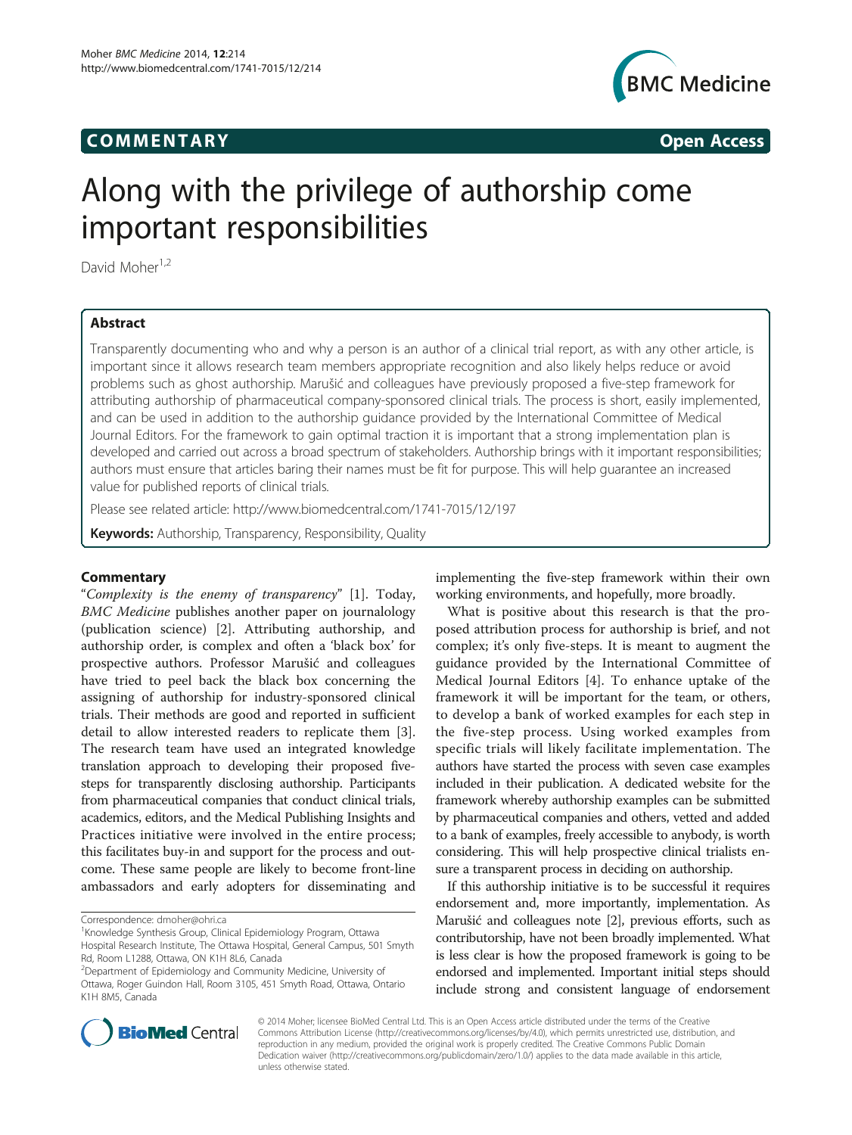# COMM EN TARY Open Access



# Along with the privilege of authorship come important responsibilities

David Moher<sup>1,2</sup>

## Abstract

Transparently documenting who and why a person is an author of a clinical trial report, as with any other article, is important since it allows research team members appropriate recognition and also likely helps reduce or avoid problems such as ghost authorship. Marušić and colleagues have previously proposed a five-step framework for attributing authorship of pharmaceutical company-sponsored clinical trials. The process is short, easily implemented, and can be used in addition to the authorship guidance provided by the International Committee of Medical Journal Editors. For the framework to gain optimal traction it is important that a strong implementation plan is developed and carried out across a broad spectrum of stakeholders. Authorship brings with it important responsibilities; authors must ensure that articles baring their names must be fit for purpose. This will help guarantee an increased value for published reports of clinical trials.

Please see related article:<http://www.biomedcentral.com/1741-7015/12/197>

Keywords: Authorship, Transparency, Responsibility, Quality

### **Commentary**

"Complexity is the enemy of transparency" [\[1](#page-1-0)]. Today, BMC Medicine publishes another paper on journalology (publication science) [\[2](#page-1-0)]. Attributing authorship, and authorship order, is complex and often a 'black box' for prospective authors. Professor Marušić and colleagues have tried to peel back the black box concerning the assigning of authorship for industry-sponsored clinical trials. Their methods are good and reported in sufficient detail to allow interested readers to replicate them [\[3](#page-1-0)]. The research team have used an integrated knowledge translation approach to developing their proposed fivesteps for transparently disclosing authorship. Participants from pharmaceutical companies that conduct clinical trials, academics, editors, and the Medical Publishing Insights and Practices initiative were involved in the entire process; this facilitates buy-in and support for the process and outcome. These same people are likely to become front-line ambassadors and early adopters for disseminating and

Correspondence: [dmoher@ohri.ca](mailto:dmoher@ohri.ca) <sup>1</sup>

implementing the five-step framework within their own working environments, and hopefully, more broadly.

What is positive about this research is that the proposed attribution process for authorship is brief, and not complex; it's only five-steps. It is meant to augment the guidance provided by the International Committee of Medical Journal Editors [\[4](#page-1-0)]. To enhance uptake of the framework it will be important for the team, or others, to develop a bank of worked examples for each step in the five-step process. Using worked examples from specific trials will likely facilitate implementation. The authors have started the process with seven case examples included in their publication. A dedicated website for the framework whereby authorship examples can be submitted by pharmaceutical companies and others, vetted and added to a bank of examples, freely accessible to anybody, is worth considering. This will help prospective clinical trialists ensure a transparent process in deciding on authorship.

If this authorship initiative is to be successful it requires endorsement and, more importantly, implementation. As Marušić and colleagues note [\[2\]](#page-1-0), previous efforts, such as contributorship, have not been broadly implemented. What is less clear is how the proposed framework is going to be endorsed and implemented. Important initial steps should include strong and consistent language of endorsement



© 2014 Moher; licensee BioMed Central Ltd. This is an Open Access article distributed under the terms of the Creative Commons Attribution License [\(http://creativecommons.org/licenses/by/4.0\)](http://creativecommons.org/licenses/by/4.0), which permits unrestricted use, distribution, and reproduction in any medium, provided the original work is properly credited. The Creative Commons Public Domain Dedication waiver [\(http://creativecommons.org/publicdomain/zero/1.0/](http://creativecommons.org/publicdomain/zero/1.0/)) applies to the data made available in this article, unless otherwise stated.

<sup>&</sup>lt;sup>1</sup> Knowledge Synthesis Group, Clinical Epidemiology Program, Ottawa Hospital Research Institute, The Ottawa Hospital, General Campus, 501 Smyth Rd, Room L1288, Ottawa, ON K1H 8L6, Canada

<sup>2</sup> Department of Epidemiology and Community Medicine, University of Ottawa, Roger Guindon Hall, Room 3105, 451 Smyth Road, Ottawa, Ontario K1H 8M5, Canada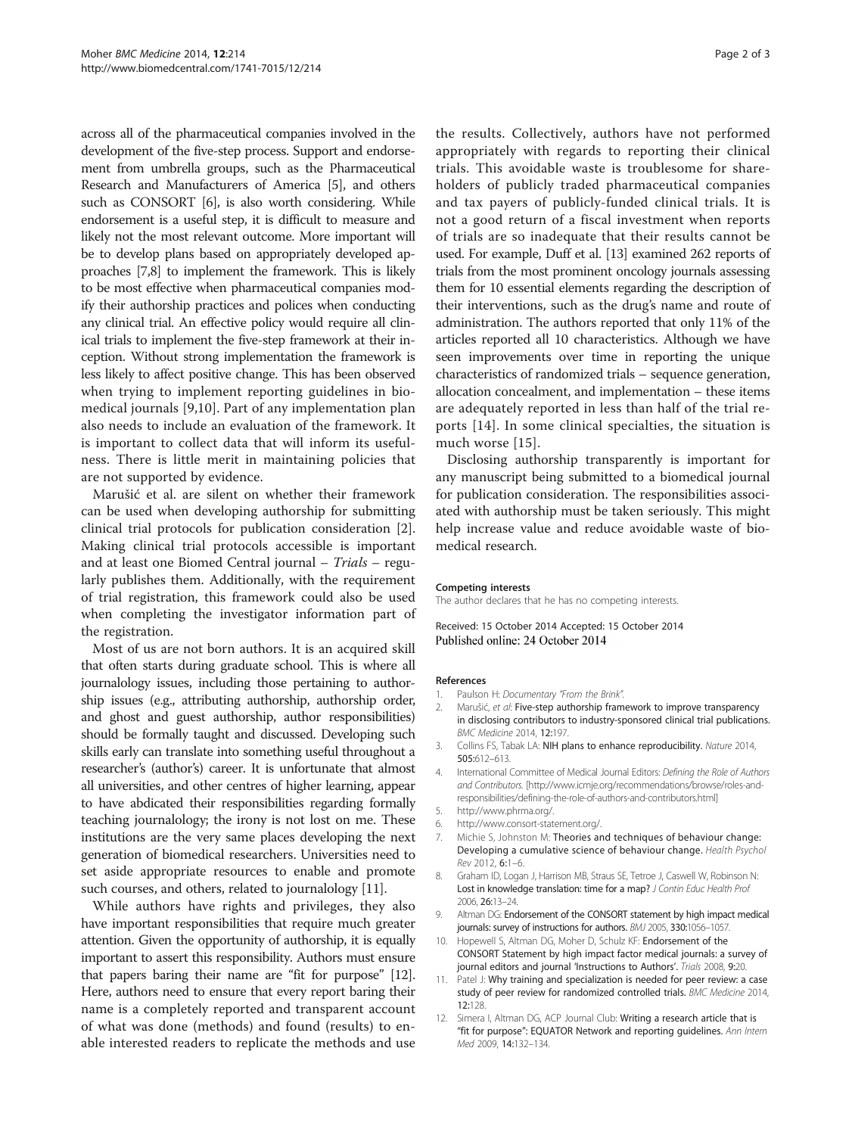<span id="page-1-0"></span>across all of the pharmaceutical companies involved in the development of the five-step process. Support and endorsement from umbrella groups, such as the Pharmaceutical Research and Manufacturers of America [5], and others such as CONSORT [6], is also worth considering. While endorsement is a useful step, it is difficult to measure and likely not the most relevant outcome. More important will be to develop plans based on appropriately developed approaches [7,8] to implement the framework. This is likely to be most effective when pharmaceutical companies modify their authorship practices and polices when conducting any clinical trial. An effective policy would require all clinical trials to implement the five-step framework at their inception. Without strong implementation the framework is less likely to affect positive change. This has been observed when trying to implement reporting guidelines in biomedical journals [9,10]. Part of any implementation plan also needs to include an evaluation of the framework. It is important to collect data that will inform its usefulness. There is little merit in maintaining policies that are not supported by evidence.

Marušić et al. are silent on whether their framework can be used when developing authorship for submitting clinical trial protocols for publication consideration [2]. Making clinical trial protocols accessible is important and at least one Biomed Central journal – Trials – regularly publishes them. Additionally, with the requirement of trial registration, this framework could also be used when completing the investigator information part of the registration.

Most of us are not born authors. It is an acquired skill that often starts during graduate school. This is where all journalology issues, including those pertaining to authorship issues (e.g., attributing authorship, authorship order, and ghost and guest authorship, author responsibilities) should be formally taught and discussed. Developing such skills early can translate into something useful throughout a researcher's (author's) career. It is unfortunate that almost all universities, and other centres of higher learning, appear to have abdicated their responsibilities regarding formally teaching journalology; the irony is not lost on me. These institutions are the very same places developing the next generation of biomedical researchers. Universities need to set aside appropriate resources to enable and promote such courses, and others, related to journalology [11].

While authors have rights and privileges, they also have important responsibilities that require much greater attention. Given the opportunity of authorship, it is equally important to assert this responsibility. Authors must ensure that papers baring their name are "fit for purpose" [12]. Here, authors need to ensure that every report baring their name is a completely reported and transparent account of what was done (methods) and found (results) to enable interested readers to replicate the methods and use

the results. Collectively, authors have not performed appropriately with regards to reporting their clinical trials. This avoidable waste is troublesome for shareholders of publicly traded pharmaceutical companies and tax payers of publicly-funded clinical trials. It is not a good return of a fiscal investment when reports of trials are so inadequate that their results cannot be used. For example, Duff et al. [[13\]](#page-2-0) examined 262 reports of trials from the most prominent oncology journals assessing them for 10 essential elements regarding the description of their interventions, such as the drug's name and route of administration. The authors reported that only 11% of the articles reported all 10 characteristics. Although we have seen improvements over time in reporting the unique characteristics of randomized trials – sequence generation, allocation concealment, and implementation – these items are adequately reported in less than half of the trial reports [[14\]](#page-2-0). In some clinical specialties, the situation is much worse [[15](#page-2-0)].

Disclosing authorship transparently is important for any manuscript being submitted to a biomedical journal for publication consideration. The responsibilities associated with authorship must be taken seriously. This might help increase value and reduce avoidable waste of biomedical research.

#### Competing interests

The author declares that he has no competing interests.

Received: 15 October 2014 Accepted: 15 October 2014 Published online: 24 October 2014

#### References

- Paulson H: Documentary "From the Brink".
- Marušić, et al: Five-step authorship framework to improve transparency in disclosing contributors to industry-sponsored clinical trial publications. BMC Medicine 2014, 12:197.
- 3. Collins FS, Tabak LA: NIH plans to enhance reproducibility. Nature 2014, 505:612–613.
- 4. International Committee of Medical Journal Editors: Defining the Role of Authors and Contributors. [[http://www.icmje.org/recommendations/browse/roles-and](http://www.icmje.org/recommendations/browse/roles-and-responsibilities/defining-the-role-of-authors-and-contributors.html)[responsibilities/defining-the-role-of-authors-and-contributors.html](http://www.icmje.org/recommendations/browse/roles-and-responsibilities/defining-the-role-of-authors-and-contributors.html)]
- 5.<http://www.phrma.org/>.
- 6. [http://www.consort-statement.org/.](http://www.consort-statement.org/)
- 7. Michie S, Johnston M: Theories and techniques of behaviour change: Developing a cumulative science of behaviour change. Health Psychol Rev 2012, 6:1–6.
- 8. Graham ID, Logan J, Harrison MB, Straus SE, Tetroe J, Caswell W, Robinson N: Lost in knowledge translation: time for a map? J Contin Educ Health Prof 2006, 26:13–24.
- 9. Altman DG: Endorsement of the CONSORT statement by high impact medical journals: survey of instructions for authors. BMJ 2005, 330:1056–1057.
- 10. Hopewell S, Altman DG, Moher D, Schulz KF: Endorsement of the CONSORT Statement by high impact factor medical journals: a survey of journal editors and journal 'Instructions to Authors'. Trials 2008, 9:20.
- 11. Patel J: Why training and specialization is needed for peer review: a case study of peer review for randomized controlled trials. BMC Medicine 2014, 12:128.
- 12. Simera I, Altman DG, ACP Journal Club: Writing a research article that is "fit for purpose": EQUATOR Network and reporting guidelines. Ann Intern Med 2009, 14:132–134.